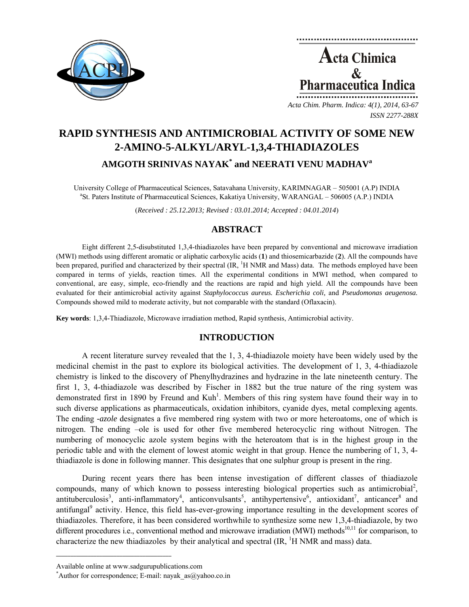

**Acta Chimica**  $\mathcal{R}_{\mathcal{L}}$ Pharmaceutica Indica

*Acta Chim. Pharm. Indica: 4(1), 2014, 63-67 ISSN 2277-288X*

# **RAPID SYNTHESIS AND ANTIMICROBIAL ACTIVITY OF SOME NEW 2-AMINO-5-ALKYL/ARYL-1,3,4-THIADIAZOLES AMGOTH SRINIVAS NAYAK\* and NEERATI VENU MADHAV<sup>a</sup>**

University College of Pharmaceutical Sciences, Satavahana University, KARIMNAGAR – 505001 (A.P) INDIA a <sup>a</sup>St. Paters Institute of Pharmaceutical Sciences, Kakatiya University, WARANGAL – 506005 (A.P.) INDIA

(*Received : 25.12.2013; Revised : 03.01.2014; Accepted : 04.01.2014*)

# **ABSTRACT**

Eight different 2,5-disubstituted 1,3,4-thiadiazoles have been prepared by conventional and microwave irradiation (MWI) methods using different aromatic or aliphatic carboxylic acids (**1**) and thiosemicarbazide (**2**). All the compounds have been prepared, purified and characterized by their spectral (IR, <sup>1</sup>H NMR and Mass) data. The methods employed have been compared in terms of yields, reaction times. All the experimental conditions in MWI method, when compared to conventional, are easy, simple, eco-friendly and the reactions are rapid and high yield. All the compounds have been evaluated for their antimicrobial activity against *Staphylococcus aureus. Escherichia coli,* and *Pseudomonas aeugenosa.*  Compounds showed mild to moderate activity, but not comparable with the standard (Oflaxacin).

**Key words**: 1,3,4-Thiadiazole, Microwave irradiation method, Rapid synthesis, Antimicrobial activity.

# **INTRODUCTION**

A recent literature survey revealed that the 1, 3, 4-thiadiazole moiety have been widely used by the medicinal chemist in the past to explore its biological activities. The development of 1, 3, 4-thiadiazole chemistry is linked to the discovery of Phenylhydrazines and hydrazine in the late nineteenth century. The first 1, 3, 4-thiadiazole was described by Fischer in 1882 but the true nature of the ring system was demonstrated first in 1890 by Freund and Kuh<sup>1</sup>. Members of this ring system have found their way in to such diverse applications as pharmaceuticals, oxidation inhibitors, cyanide dyes, metal complexing agents. The ending *-azole* designates a five membered ring system with two or more heteroatoms, one of which is nitrogen. The ending –ole is used for other five membered heterocyclic ring without Nitrogen. The numbering of monocyclic azole system begins with the heteroatom that is in the highest group in the periodic table and with the element of lowest atomic weight in that group. Hence the numbering of 1, 3, 4 thiadiazole is done in following manner. This designates that one sulphur group is present in the ring.

During recent years there has been intense investigation of different classes of thiadiazole compounds, many of which known to possess interesting biological properties such as antimicrobial<sup>2</sup>, antituberculosis<sup>3</sup>, anti-inflammatory<sup>4</sup>, anticonvulsants<sup>5</sup>, antihypertensive<sup>6</sup>, antioxidant<sup>7</sup>, anticancer<sup>8</sup> and antifungal<sup>9</sup> activity. Hence, this field has-ever-growing importance resulting in the development scores of thiadiazoles. Therefore, it has been considered worthwhile to synthesize some new 1,3,4-thiadiazole, by two different procedures i.e., conventional method and microwave irradiation (MWI) methods<sup>10,11</sup> for comparison, to characterize the new thiadiazoles by their analytical and spectral  $(\text{IR}, \, {}^1\text{H})$  NMR and mass) data.

**\_\_\_\_\_\_\_\_\_\_\_\_\_\_\_\_\_\_\_\_\_\_\_\_\_\_\_\_\_\_\_\_\_\_\_\_\_\_\_\_**

Available online at www.sadgurupublications.com \*

<sup>\*</sup>Author for correspondence; E-mail: nayak\_as $@y$ ahoo.co.in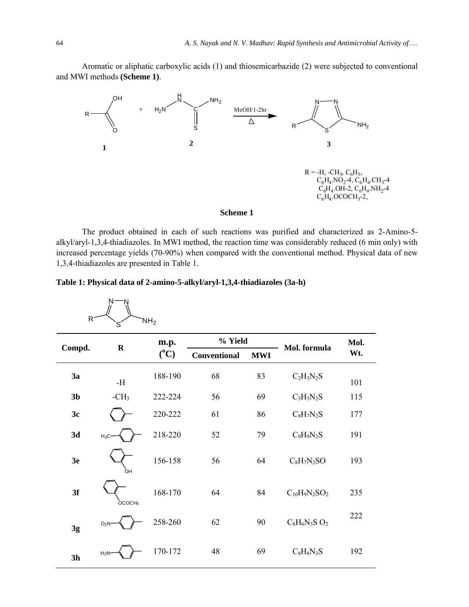Aromatic or aliphatic carboxylic acids (1) and thiosemicarbazide (2) were subjected to conventional and MWI methods **(Scheme 1)**.



The product obtained in each of such reactions was purified and characterized as 2-Amino-5 alkyl/aryl-1,3,4-thiadiazoles. In MWI method, the reaction time was considerably reduced (6 min only) with increased percentage yields (70-90%) when compared with the conventional method. Physical data of new 1,3,4-thiadiazoles are presented in Table 1.

|  |  | Table 1: Physical data of 2-amino-5-alkyl/aryl-1,3,4-thiadiazoles (3a-h) |  |
|--|--|--------------------------------------------------------------------------|--|
|  |  |                                                                          |  |

| $N$ -<br>'N<br>R<br>NH <sub>2</sub><br>`S |                    |                 |                     |            |                             |      |
|-------------------------------------------|--------------------|-----------------|---------------------|------------|-----------------------------|------|
| Compd.                                    | $\mathbf R$        | m.p.<br>$(^0C)$ | % Yield             |            | Mol. formula                | Mol. |
|                                           |                    |                 | <b>Conventional</b> | <b>MWI</b> |                             | Wt.  |
| 3a                                        | -H                 | 188-190         | 68                  | 83         | $C_2H_3N_2S$                | 101  |
| 3 <sub>b</sub>                            | $-CH3$             | 222-224         | 56                  | 69         | $C_3H_5N_2S$                | 115  |
| 3c                                        |                    | 220-222         | 61                  | 86         | $C_8H_7N_2S$                | 177  |
| 3d                                        | $H_3C$             | 218-220         | 52                  | 79         | $C_9H_9N_2S$                | 191  |
| 3 <sub>e</sub>                            | òн                 | 156-158         | 56                  | 64         | $C_8H_7N_2SO$               | 193  |
| 3f                                        | OCOCH <sub>3</sub> | 168-170         | 64                  | 84         | $C_{10}H_9N_2SO_2$          | 235  |
| 3g                                        | O <sub>2</sub> N   | 258-260         | 62                  | 90         | $C_8H_6N_3S$ O <sub>2</sub> | 222  |
| 3h                                        | $H_2N$             | 170-172         | 48                  | 69         | $C_8H_8N_3S$                | 192  |

 $\overline{a}$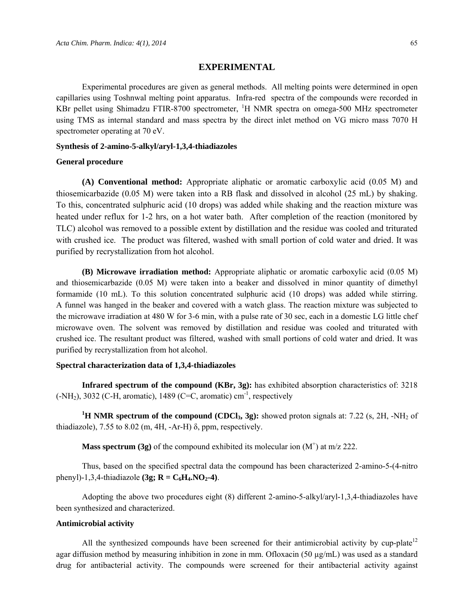## **EXPERIMENTAL**

Experimental procedures are given as general methods. All melting points were determined in open capillaries using Toshnwal melting point apparatus. Infra-red spectra of the compounds were recorded in KBr pellet using Shimadzu FTIR-8700 spectrometer, <sup>1</sup>H NMR spectra on omega-500 MHz spectrometer using TMS as internal standard and mass spectra by the direct inlet method on VG micro mass 7070 H spectrometer operating at 70 eV.

#### **Synthesis of 2-amino-5-alkyl/aryl-1,3,4-thiadiazoles**

#### **General procedure**

**(A) Conventional method:** Appropriate aliphatic or aromatic carboxylic acid (0.05 M) and thiosemicarbazide (0.05 M) were taken into a RB flask and dissolved in alcohol (25 mL) by shaking. To this, concentrated sulphuric acid (10 drops) was added while shaking and the reaction mixture was heated under reflux for 1-2 hrs, on a hot water bath. After completion of the reaction (monitored by TLC) alcohol was removed to a possible extent by distillation and the residue was cooled and triturated with crushed ice. The product was filtered, washed with small portion of cold water and dried. It was purified by recrystallization from hot alcohol.

**(B) Microwave irradiation method:** Appropriate aliphatic or aromatic carboxylic acid (0.05 M) and thiosemicarbazide (0.05 M) were taken into a beaker and dissolved in minor quantity of dimethyl formamide (10 mL). To this solution concentrated sulphuric acid (10 drops) was added while stirring. A funnel was hanged in the beaker and covered with a watch glass. The reaction mixture was subjected to the microwave irradiation at 480 W for 3-6 min, with a pulse rate of 30 sec, each in a domestic LG little chef microwave oven. The solvent was removed by distillation and residue was cooled and triturated with crushed ice. The resultant product was filtered, washed with small portions of cold water and dried. It was purified by recrystallization from hot alcohol.

#### **Spectral characterization data of 1,3,4-thiadiazoles**

**Infrared spectrum of the compound (KBr, 3g):** has exhibited absorption characteristics of: 3218  $(-NH<sub>2</sub>),$  3032 (C-H, aromatic), 1489 (C=C, aromatic) cm<sup>-1</sup>, respectively

<sup>1</sup>**H NMR spectrum of the compound (CDCl<sub>3</sub>, 3g):** showed proton signals at: 7.22 (s, 2H, -NH<sub>2</sub> of thiadiazole),  $7.55$  to  $8.02$  (m,  $4H$ ,  $-Ar-H$ )  $\delta$ , ppm, respectively.

**Mass spectrum (3g)** of the compound exhibited its molecular ion  $(M^+)$  at m/z 222.

Thus, based on the specified spectral data the compound has been characterized 2-amino-5-(4-nitro phenyl)-1,3,4-thiadiazole **(3g; R = C<sub>6</sub>H<sub>4</sub>,NO<sub>2</sub>-4)**.

Adopting the above two procedures eight (8) different 2-amino-5-alkyl/aryl-1,3,4-thiadiazoles have been synthesized and characterized.

### **Antimicrobial activity**

All the synthesized compounds have been screened for their antimicrobial activity by cup-plate<sup>12</sup> agar diffusion method by measuring inhibition in zone in mm. Ofloxacin (50  $\mu$ g/mL) was used as a standard drug for antibacterial activity. The compounds were screened for their antibacterial activity against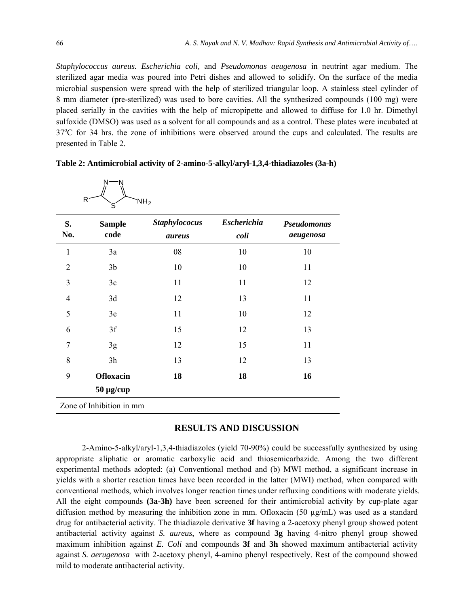*Staphylococcus aureus. Escherichia coli,* and *Pseudomonas aeugenosa* in neutrint agar medium. The sterilized agar media was poured into Petri dishes and allowed to solidify. On the surface of the media microbial suspension were spread with the help of sterilized triangular loop. A stainless steel cylinder of 8 mm diameter (pre-sterilized) was used to bore cavities. All the synthesized compounds (100 mg) were placed serially in the cavities with the help of micropipette and allowed to diffuse for 1.0 hr. Dimethyl sulfoxide (DMSO) was used as a solvent for all compounds and as a control. These plates were incubated at 37°C for 34 hrs. the zone of inhibitions were observed around the cups and calculated. The results are presented in Table 2.

| S.<br>No.      | <b>Sample</b><br>code | <b>Staphylococus</b><br>aureus | <b>Escherichia</b><br>coli | <b>Pseudomonas</b><br>aeugenosa |
|----------------|-----------------------|--------------------------------|----------------------------|---------------------------------|
| $\mathbf{1}$   | 3a                    | 08                             | 10                         | 10                              |
| $\overline{2}$ | 3 <sub>b</sub>        | 10                             | 10                         | 11                              |
| 3              | 3c                    | 11                             | 11                         | 12                              |
| 4              | 3d                    | 12                             | 13                         | 11                              |
| 5              | 3e                    | 11                             | 10                         | 12                              |
| 6              | 3f                    | 15                             | 12                         | 13                              |
| 7              | 3g                    | 12                             | 15                         | 11                              |
| 8              | 3h                    | 13                             | 12                         | 13                              |
| 9              | <b>Ofloxacin</b>      | 18                             | 18                         | 16                              |
|                | $50 \mu g$ /cup       |                                |                            |                                 |

| Table 2: Antimicrobial activity of 2-amino-5-alkyl/aryl-1,3,4-thiadiazoles (3a-h) |  |
|-----------------------------------------------------------------------------------|--|
|                                                                                   |  |

# **RESULTS AND DISCUSSION**

2-Amino-5-alkyl/aryl-1,3,4-thiadiazoles (yield 70-90%) could be successfully synthesized by using appropriate aliphatic or aromatic carboxylic acid and thiosemicarbazide. Among the two different experimental methods adopted: (a) Conventional method and (b) MWI method, a significant increase in yields with a shorter reaction times have been recorded in the latter (MWI) method, when compared with conventional methods, which involves longer reaction times under refluxing conditions with moderate yields. All the eight compounds **(3a-3h)** have been screened for their antimicrobial activity by cup-plate agar diffusion method by measuring the inhibition zone in mm. Ofloxacin (50  $\mu$ g/mL) was used as a standard drug for antibacterial activity. The thiadiazole derivative **3f** having a 2-acetoxy phenyl group showed potent antibacterial activity against *S. aureus*, where as compound **3g** having 4-nitro phenyl group showed maximum inhibition against *E. Coli* and compounds **3f** and **3h** showed maximum antibacterial activity against *S. aerugenosa* with 2-acetoxy phenyl, 4-amino phenyl respectively. Rest of the compound showed mild to moderate antibacterial activity.

 $\ddot{N}$   $\rightarrow$   $\ddot{N}$